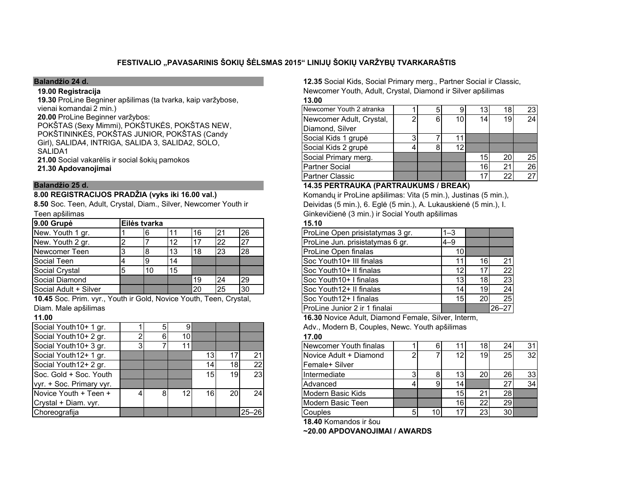# FESTIVALIO "PAVASARINIS ŠOKIŲ ŠĖLSMAS 2015" LINIJŲ ŠOKIŲ VARŽYBŲ TVARKARAŠTIS

## Balandžio 24 d.

## 19.00 Registracija

 19.30 ProLine Begniner apšilimas (ta tvarka, kaip varžybose, vienai komandai 2 min.)

20.00 ProLine Beginner varžybos: POKŠTAS (Sexy Mimmi), POKŠTUKĖS, POKŠTAS NEW, POKŠTININKĖS, POKŠTAS JUNIOR, POKŠTAS (Candy Girl), SALIDA4, INTRIGA, SALIDA 3, SALIDA2, SOLO, SALIDA1

21.00 Social vakarėlis ir social šokių pamokos<br>21.00 .

21.30 Apdovanojimai

## Balandžio 25 d.

# 8.00 REGISTRACIJOS PRADŽIA (vyks iki 16.00 val.)

Teen apšilimas8.50 Soc. Teen, Adult, Crystal, Diam., Silver, Newcomer Youth ir

| 9.00 Grupė                   | <b>IEilės tvarka</b> |    |    |    |           | 15.10                            |                 |    |    |  |
|------------------------------|----------------------|----|----|----|-----------|----------------------------------|-----------------|----|----|--|
| New. Youth 1 gr.             |                      |    | 16 |    | 26        | ProLine Open prisistatymas 3 gr. | I1–3            |    |    |  |
| New. Youth 2 gr.             |                      |    |    | 22 |           | ProLine Jun. prisistatymas 6 gr. | $14 - 9$        |    |    |  |
| Newcomer Teen                |                      |    | 18 | 23 | <b>28</b> | ProLine Open finalas             | 101             |    |    |  |
| Social Teen                  |                      | 14 |    |    |           | <b>Soc Youth10+ III finalas</b>  |                 | 16 | 21 |  |
| Social Crystal               | 10                   | 15 |    |    |           | <b>Soc Youth10+ Il finalas</b>   |                 |    | 22 |  |
| Social Diamond               |                      |    | 19 | 24 | 29        | <b>Soc Youth10+ I finalas</b>    |                 | 18 | 23 |  |
| <b>Social Adult + Silver</b> |                      |    | 20 | 25 | 30        | <b>ISoc Youth12+ Il finalas</b>  | 14 <sub>1</sub> | 19 | 24 |  |

Diam. Male apšilimas10.45 Soc. Prim. vyr., Youth ir Gold, Novice Youth, Teen, Crystal,

## 11.00

| Social Youth10+ 1 gr.    | 5 | 9               |                 |    |       | Adv.,       |
|--------------------------|---|-----------------|-----------------|----|-------|-------------|
| Social Youth10+ 2 gr.    | 6 | 10 <sub>l</sub> |                 |    |       | 17.00       |
| Social Youth10+ 3 gr.    |   | 11              |                 |    |       | <b>Newc</b> |
| Social Youth12+ 1 gr.    |   |                 | 13              | 17 | 21    | Novic       |
| Social Youth12+ 2 gr.    |   |                 | 14              | 18 | 22    | Fema        |
| Soc. Gold + Soc. Youth   |   |                 | 15 <sub>l</sub> | 19 | 23    | Intern      |
| vyr. + Soc. Primary vyr. |   |                 |                 |    |       | Advar       |
| Novice Youth + Teen +    | 8 | 12              | 16 <sup>1</sup> | 20 | 24    | Mode        |
| Crystal + Diam. vyr.     |   |                 |                 |    |       | Mode        |
| Choreografija            |   |                 |                 |    | 25-26 | Coup        |

12.35 Social Kids, Social Primary merg., Partner Social ir Classic,Newcomer Youth, Adult, Crystal, Diamond ir Silver apšilimas13.00

| Newcomer Youth 2 atranka                     |   |   | 9  | 13              | 18 | 23 |  |  |  |  |  |
|----------------------------------------------|---|---|----|-----------------|----|----|--|--|--|--|--|
| Newcomer Adult, Crystal,                     | ີ | 6 | 10 | 14              | 19 | 24 |  |  |  |  |  |
| Diamond, Silver                              |   |   |    |                 |    |    |  |  |  |  |  |
| Social Kids 1 grupė                          |   |   |    |                 |    |    |  |  |  |  |  |
| Social Kids 2 grupė                          |   |   | 12 |                 |    |    |  |  |  |  |  |
| Social Primary merg.                         |   |   |    | 15 <sup>1</sup> | 20 | 25 |  |  |  |  |  |
| <b>Partner Social</b>                        |   |   |    | 16              | 21 | 26 |  |  |  |  |  |
| <b>Partner Classic</b>                       |   |   |    | 17              | 22 | 27 |  |  |  |  |  |
| <b>14.35 PERTRAUKA (PARTRAUKUMS / BREAK)</b> |   |   |    |                 |    |    |  |  |  |  |  |

 Komandų ir ProLine apšilimas: Vita (5 min.), Justinas (5 min.), Deividas (5 min.), 6. Eglė (5 min.), A. Lukauskienė (5 min.), I. Ginkevičienė (3 min.) ir Social Youth apšilimas

|                                                |  | 6  |     | 16                     | 21        | 26  | ProLine Open prisistatymas 3 gr.       | $1 - 3$ |                 |           |
|------------------------------------------------|--|----|-----|------------------------|-----------|-----|----------------------------------------|---------|-----------------|-----------|
|                                                |  |    | 12  |                        | 22        |     | ProLine Jun. prisistatymas 6 gr.       | $4 - 9$ |                 |           |
|                                                |  |    | 13  | 18                     | 23        | 28  | ProLine Open finalas                   |         |                 |           |
|                                                |  |    | 14  |                        |           |     | Soc Youth10+ III finalas               |         | 16)             | 21        |
|                                                |  | 10 | 115 |                        |           |     | <b>ISoc Youth10+ Il finalas</b>        |         |                 | 22        |
|                                                |  |    |     | 19                     | 24        | I29 | <b>ISoc Youth10+ I finalas</b>         |         | 18.             | 23        |
|                                                |  |    |     | 20                     | <b>25</b> | 30  | Soc Youth12+ II finalas                | 14      | 19 <sub>l</sub> | 24        |
| ., Youth ir Gold, Novice Youth, Teen, Crystal, |  |    |     | Soc Youth12+ I finalas | 15        | 20  | 25                                     |         |                 |           |
|                                                |  |    |     |                        |           |     | <b>I</b> ProLine Junior 2 ir 1 finalai |         |                 | $26 - 27$ |
|                                                |  |    |     |                        |           |     |                                        |         |                 |           |

16.30 Novice Adult, Diamond Female, Silver, Interm,

Adv., Modern B, Couples, Newc. Youth apšilimas 17.00

| Social Youth10+ 3 gr.    |  | 11  |     |            |                 | Newcomer Youth finalas                                                                                                                                                                                                                                                                                                                                          |      |     | 181             | 24 <sub>l</sub> | 31 |
|--------------------------|--|-----|-----|------------|-----------------|-----------------------------------------------------------------------------------------------------------------------------------------------------------------------------------------------------------------------------------------------------------------------------------------------------------------------------------------------------------------|------|-----|-----------------|-----------------|----|
| Social Youth12+ 1 gr.    |  |     |     |            |                 | Novice Adult + Diamond                                                                                                                                                                                                                                                                                                                                          |      |     | 19              | <b>25</b>       | 32 |
| Social Youth12+ 2 gr.    |  |     |     | 18 I       | 22.             | Female+ Silver                                                                                                                                                                                                                                                                                                                                                  |      |     |                 |                 |    |
| Soc. Gold + Soc. Youth   |  |     | 151 | 19 I       | 23 <sub>l</sub> | Intermediate                                                                                                                                                                                                                                                                                                                                                    |      | 131 | <b>20</b>       | <b>26</b>       | 33 |
| vyr. + Soc. Primary vyr. |  |     |     |            |                 | Advanced                                                                                                                                                                                                                                                                                                                                                        |      |     |                 | 27              | 34 |
| Novice Youth + Teen +    |  | 12I | 16  | <b>201</b> | 24 <sup>1</sup> | Modern Basic Kids                                                                                                                                                                                                                                                                                                                                               |      | 15I | 21              | <b>28</b>       |    |
| Crystal + Diam. vyr.     |  |     |     |            |                 | Modern Basic Teen                                                                                                                                                                                                                                                                                                                                               |      | 16I | 22              | 29              |    |
| Choreografija            |  |     |     |            | $25 - 26$       | Couples                                                                                                                                                                                                                                                                                                                                                         | 10 I |     | 23 <sub>1</sub> | 30              |    |
|                          |  |     |     |            |                 | $\overline{10}$ $\overline{10}$ $\overline{11}$ $\overline{12}$ $\overline{12}$ $\overline{12}$ $\overline{12}$ $\overline{12}$ $\overline{12}$ $\overline{12}$ $\overline{12}$ $\overline{12}$ $\overline{12}$ $\overline{12}$ $\overline{12}$ $\overline{12}$ $\overline{12}$ $\overline{12}$ $\overline{12}$ $\overline{12}$ $\overline{12}$ $\overline{12}$ |      |     |                 |                 |    |

18.40 Komandos ir šou

~20.00 APDOVANOJIMAI / AWARDS